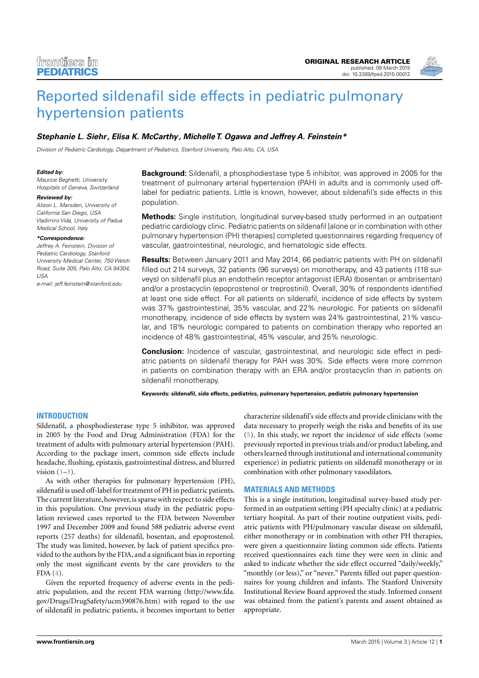

# [Reported sildenafil side effects in pediatric pulmonary](http://www.frontiersin.org/Journal/10.3389/fped.2015.00012/abstract) [hypertension patients](http://www.frontiersin.org/Journal/10.3389/fped.2015.00012/abstract)

# **[Stephanie L. Siehr,](http://www.frontiersin.org/people/u/181315) Elisa K. McCarthy, [Michelle T. Ogawa](http://loop.frontiersin.org/people/211438/overview) and [Jeffrey A. Feinstein\\*](http://loop.frontiersin.org/people/69113/overview)**

Division of Pediatric Cardiology, Department of Pediatrics, Stanford University, Palo Alto, CA, USA

## **Edited by:**

Maurice Beghetti, University Hospitals of Geneva, Switzerland

## **Reviewed by:**

Alison L. Marsden, University of California San Diego, USA Vladimiro Vida, University of Padua Medical School, Italy

## **\*Correspondence:**

Jeffrey A. Feinstein, Division of Pediatric Cardiology, Stanford University Medical Center, 750 Welch Road, Suite 305, Palo Alto, CA 94304, USA

e-mail: [jeff.feinstein@stanford.edu](mailto:jeff.feinstein@stanford.edu)

# **Background:** Sildenafil, a phosphodiestase type 5 inhibitor, was approved in 2005 for the treatment of pulmonary arterial hypertension (PAH) in adults and is commonly used offlabel for pediatric patients. Little is known, however, about sildenafil's side effects in this population.

**Methods:** Single institution, longitudinal survey-based study performed in an outpatient pediatric cardiology clinic. Pediatric patients on sildenafil [alone or in combination with other pulmonary hypertension (PH) therapies] completed questionnaires regarding frequency of vascular, gastrointestinal, neurologic, and hematologic side effects.

**Results:** Between January 2011 and May 2014, 66 pediatric patients with PH on sildenafil filled out 214 surveys, 32 patients (96 surveys) on monotherapy, and 43 patients (118 surveys) on sildenafil plus an endothelin receptor antagonist (ERA) (bosentan or ambrisentan) and/or a prostacyclin (epoprostenol or treprostinil). Overall, 30% of respondents identified at least one side effect. For all patients on sildenafil, incidence of side effects by system was 37% gastrointestinal, 35% vascular, and 22% neurologic. For patients on sildenafil monotherapy, incidence of side effects by system was 24% gastrointestinal, 21% vascular, and 18% neurologic compared to patients on combination therapy who reported an incidence of 48% gastrointestinal, 45% vascular, and 25% neurologic.

**Conclusion:** Incidence of vascular, gastrointestinal, and neurologic side effect in pediatric patients on sildenafil therapy for PAH was 30%. Side effects were more common in patients on combination therapy with an ERA and/or prostacyclin than in patients on sildenafil monotherapy.

**Keywords: sildenafil, side effects, pediatrics, pulmonary hypertension, pediatric pulmonary hypertension**

# **INTRODUCTION**

Sildenafil, a phosphodiesterase type 5 inhibitor, was approved in 2005 by the Food and Drug Administration (FDA) for the treatment of adults with pulmonary arterial hypertension (PAH). According to the package insert, common side effects include headache, flushing, epistaxis, gastrointestinal distress, and blurred vision  $(1-3)$  $(1-3)$ .

As with other therapies for pulmonary hypertension (PH), sildenafil is used off-label for treatment of PH in pediatric patients. The current literature, however, is sparse with respect to side effects in this population. One previous study in the pediatric population reviewed cases reported to the FDA between November 1997 and December 2009 and found 588 pediatric adverse event reports (257 deaths) for sildenafil, bosentan, and epoprostenol. The study was limited, however, by lack of patient specifics provided to the authors by the FDA, and a significant bias in reporting only the most significant events by the care providers to the FDA [\(4\)](#page-3-2).

Given the reported frequency of adverse events in the pediatric population, and the recent FDA warning [\(http://www.fda.](http://www.fda.gov/Drugs/DrugSafety/ucm390876.htm) [gov/Drugs/DrugSafety/ucm390876.htm\)](http://www.fda.gov/Drugs/DrugSafety/ucm390876.htm) with regard to the use of sildenafil in pediatric patients, it becomes important to better

characterize sildenafil's side effects and provide clinicians with the data necessary to properly weigh the risks and benefits of its use [\(5\)](#page-3-3). In this study, we report the incidence of side effects (some previously reported in previous trials and/or product labeling, and others learned through institutional and international community experience) in pediatric patients on sildenafil monotherapy or in combination with other pulmonary vasodilators.

## **MATERIALS AND METHODS**

This is a single institution, longitudinal survey-based study performed in an outpatient setting (PH specialty clinic) at a pediatric tertiary hospital. As part of their routine outpatient visits, pediatric patients with PH/pulmonary vascular disease on sildenafil, either monotherapy or in combination with other PH therapies, were given a questionnaire listing common side effects. Patients received questionnaires each time they were seen in clinic and asked to indicate whether the side effect occurred "daily/weekly," "monthly (or less)," or "never." Parents filled out paper questionnaires for young children and infants. The Stanford University Institutional Review Board approved the study. Informed consent was obtained from the patient's parents and assent obtained as appropriate.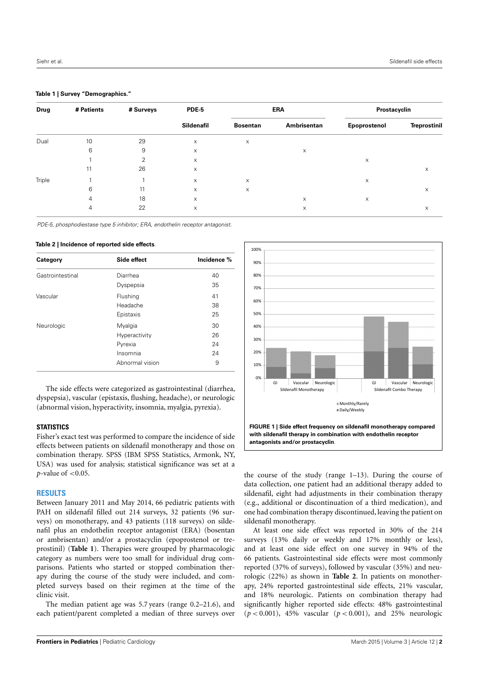## <span id="page-1-0"></span>**Table 1 | Survey "Demographics."**

| <b>Drug</b> | # Patients | # Surveys | <b>PDE-5</b><br><b>Sildenafil</b> | <b>ERA</b>      |             | Prostacyclin |                     |
|-------------|------------|-----------|-----------------------------------|-----------------|-------------|--------------|---------------------|
|             |            |           |                                   | <b>Bosentan</b> | Ambrisentan | Epoprostenol | <b>Treprostinil</b> |
| Dual        | 10         | 29        | $\mathsf{X}$                      | X               |             |              |                     |
|             | 6          | 9         | X                                 |                 | X           |              |                     |
|             |            | 2         | $\mathsf{X}$                      |                 |             | X            |                     |
|             | 11         | 26        | X                                 |                 |             |              | X                   |
| Triple      |            |           | X                                 | $\times$        |             | X            |                     |
|             | 6          | 11        | X                                 | X               |             |              | X                   |
|             | 4          | 18        | X                                 |                 | X           | X            |                     |
|             | 4          | 22        | X                                 |                 | X           |              | X                   |

PDE-5, phosphodiestase type 5 inhibitor; ERA, endothelin receptor antagonist.

#### <span id="page-1-1"></span>**Table 2 | Incidence of reported side effects**.

| Category         | Side effect     | Incidence % |  |
|------------------|-----------------|-------------|--|
| Gastrointestinal | Diarrhea        | 40          |  |
|                  | Dyspepsia       | 35          |  |
| Vascular         | Flushing        | 41          |  |
|                  | Headache        | 38          |  |
|                  | Epistaxis       | 25          |  |
| Neurologic       | Myalgia         | 30          |  |
|                  | Hyperactivity   | 26          |  |
|                  | Pyrexia         | 24          |  |
|                  | Insomnia        | 24          |  |
|                  | Abnormal vision | 9           |  |

The side effects were categorized as gastrointestinal (diarrhea, dyspepsia), vascular (epistaxis, flushing, headache), or neurologic (abnormal vision, hyperactivity, insomnia, myalgia, pyrexia).

## **STATISTICS**

Fisher's exact test was performed to compare the incidence of side effects between patients on sildenafil monotherapy and those on combination therapy. SPSS (IBM SPSS Statistics, Armonk, NY, USA) was used for analysis; statistical significance was set at a *p*-value of <0.05.

## **RESULTS**

Between January 2011 and May 2014, 66 pediatric patients with PAH on sildenafil filled out 214 surveys, 32 patients (96 surveys) on monotherapy, and 43 patients (118 surveys) on sildenafil plus an endothelin receptor antagonist (ERA) (bosentan or ambrisentan) and/or a prostacyclin (epoprostenol or treprostinil) (**[Table 1](#page-1-0)**). Therapies were grouped by pharmacologic category as numbers were too small for individual drug comparisons. Patients who started or stopped combination therapy during the course of the study were included, and completed surveys based on their regimen at the time of the clinic visit.

The median patient age was 5.7 years (range 0.2–21.6), and each patient/parent completed a median of three surveys over



<span id="page-1-2"></span>the course of the study (range 1–13). During the course of data collection, one patient had an additional therapy added to sildenafil, eight had adjustments in their combination therapy (e.g., additional or discontinuation of a third medication), and one had combination therapy discontinued, leaving the patient on sildenafil monotherapy.

At least one side effect was reported in 30% of the 214 surveys (13% daily or weekly and 17% monthly or less), and at least one side effect on one survey in 94% of the 66 patients. Gastrointestinal side effects were most commonly reported (37% of surveys), followed by vascular (35%) and neurologic (22%) as shown in **[Table 2](#page-1-1)**. In patients on monotherapy, 24% reported gastrointestinal side effects, 21% vascular, and 18% neurologic. Patients on combination therapy had significantly higher reported side effects: 48% gastrointestinal (*p* < 0.001), 45% vascular (*p* < 0.001), and 25% neurologic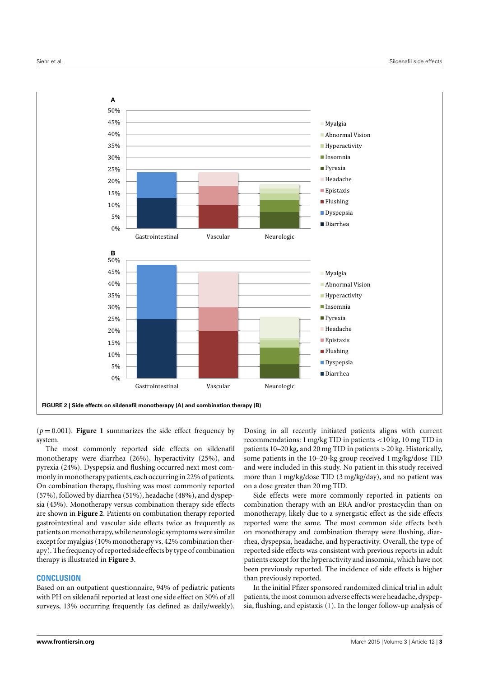

<span id="page-2-0"></span> $(p = 0.001)$ . **[Figure 1](#page-1-2)** summarizes the side effect frequency by system.

The most commonly reported side effects on sildenafil monotherapy were diarrhea (26%), hyperactivity (25%), and pyrexia (24%). Dyspepsia and flushing occurred next most commonly in monotherapy patients, each occurring in 22% of patients. On combination therapy, flushing was most commonly reported (57%), followed by diarrhea (51%), headache (48%), and dyspepsia (45%). Monotherapy versus combination therapy side effects are shown in **[Figure 2](#page-2-0)**. Patients on combination therapy reported gastrointestinal and vascular side effects twice as frequently as patients on monotherapy,while neurologic symptoms were similar except for myalgias (10% monotherapy vs. 42% combination therapy). The frequency of reported side effects by type of combination therapy is illustrated in **[Figure 3](#page-3-4)**.

# **CONCLUSION**

Based on an outpatient questionnaire, 94% of pediatric patients with PH on sildenafil reported at least one side effect on 30% of all surveys, 13% occurring frequently (as defined as daily/weekly). Dosing in all recently initiated patients aligns with current recommendations: 1 mg/kg TID in patients <10 kg, 10 mg TID in patients 10–20 kg, and 20 mg TID in patients >20 kg. Historically, some patients in the 10–20-kg group received 1 mg/kg/dose TID and were included in this study. No patient in this study received more than 1 mg/kg/dose TID (3 mg/kg/day), and no patient was on a dose greater than 20 mg TID.

Side effects were more commonly reported in patients on combination therapy with an ERA and/or prostacyclin than on monotherapy, likely due to a synergistic effect as the side effects reported were the same. The most common side effects both on monotherapy and combination therapy were flushing, diarrhea, dyspepsia, headache, and hyperactivity. Overall, the type of reported side effects was consistent with previous reports in adult patients except for the hyperactivity and insomnia, which have not been previously reported. The incidence of side effects is higher than previously reported.

In the initial Pfizer sponsored randomized clinical trial in adult patients, the most common adverse effects were headache, dyspepsia, flushing, and epistaxis [\(1\)](#page-3-0). In the longer follow-up analysis of